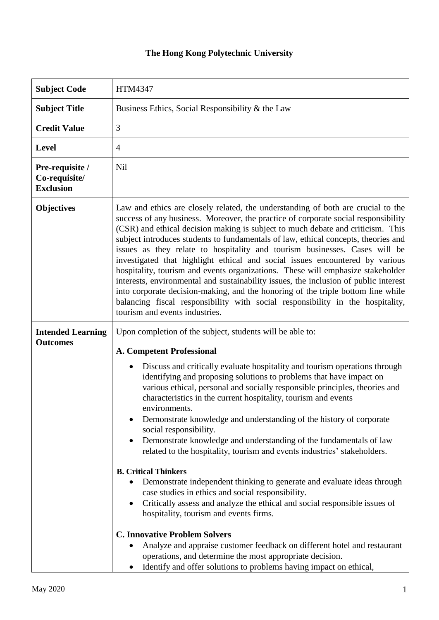## **The Hong Kong Polytechnic University**

| <b>Subject Code</b>                                  | <b>HTM4347</b>                                                                                                                                                                                                                                                                                                                                                                                                                                                                                                                                                                                                                                                                                                                                                                                                                                                                                                                                                                   |  |  |  |
|------------------------------------------------------|----------------------------------------------------------------------------------------------------------------------------------------------------------------------------------------------------------------------------------------------------------------------------------------------------------------------------------------------------------------------------------------------------------------------------------------------------------------------------------------------------------------------------------------------------------------------------------------------------------------------------------------------------------------------------------------------------------------------------------------------------------------------------------------------------------------------------------------------------------------------------------------------------------------------------------------------------------------------------------|--|--|--|
| <b>Subject Title</b>                                 | Business Ethics, Social Responsibility & the Law                                                                                                                                                                                                                                                                                                                                                                                                                                                                                                                                                                                                                                                                                                                                                                                                                                                                                                                                 |  |  |  |
| <b>Credit Value</b>                                  | 3                                                                                                                                                                                                                                                                                                                                                                                                                                                                                                                                                                                                                                                                                                                                                                                                                                                                                                                                                                                |  |  |  |
| <b>Level</b>                                         | $\overline{4}$                                                                                                                                                                                                                                                                                                                                                                                                                                                                                                                                                                                                                                                                                                                                                                                                                                                                                                                                                                   |  |  |  |
| Pre-requisite /<br>Co-requisite/<br><b>Exclusion</b> | Nil                                                                                                                                                                                                                                                                                                                                                                                                                                                                                                                                                                                                                                                                                                                                                                                                                                                                                                                                                                              |  |  |  |
| <b>Objectives</b>                                    | Law and ethics are closely related, the understanding of both are crucial to the<br>success of any business. Moreover, the practice of corporate social responsibility<br>(CSR) and ethical decision making is subject to much debate and criticism. This<br>subject introduces students to fundamentals of law, ethical concepts, theories and<br>issues as they relate to hospitality and tourism businesses. Cases will be<br>investigated that highlight ethical and social issues encountered by various<br>hospitality, tourism and events organizations. These will emphasize stakeholder<br>interests, environmental and sustainability issues, the inclusion of public interest<br>into corporate decision-making, and the honoring of the triple bottom line while<br>balancing fiscal responsibility with social responsibility in the hospitality,<br>tourism and events industries.                                                                                 |  |  |  |
| <b>Intended Learning</b><br><b>Outcomes</b>          | Upon completion of the subject, students will be able to:<br><b>A. Competent Professional</b><br>Discuss and critically evaluate hospitality and tourism operations through<br>$\bullet$<br>identifying and proposing solutions to problems that have impact on<br>various ethical, personal and socially responsible principles, theories and<br>characteristics in the current hospitality, tourism and events<br>environments.<br>Demonstrate knowledge and understanding of the history of corporate<br>social responsibility.<br>Demonstrate knowledge and understanding of the fundamentals of law<br>٠<br>related to the hospitality, tourism and events industries' stakeholders.<br><b>B. Critical Thinkers</b><br>Demonstrate independent thinking to generate and evaluate ideas through<br>case studies in ethics and social responsibility.<br>Critically assess and analyze the ethical and social responsible issues of<br>hospitality, tourism and events firms. |  |  |  |
|                                                      | <b>C. Innovative Problem Solvers</b><br>Analyze and appraise customer feedback on different hotel and restaurant<br>operations, and determine the most appropriate decision.<br>Identify and offer solutions to problems having impact on ethical,                                                                                                                                                                                                                                                                                                                                                                                                                                                                                                                                                                                                                                                                                                                               |  |  |  |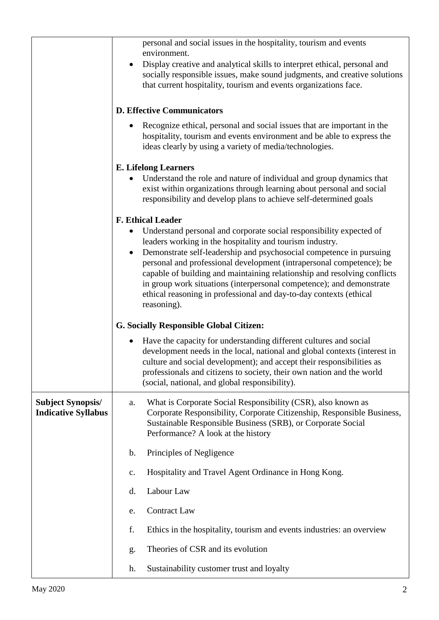|                                                        | personal and social issues in the hospitality, tourism and events<br>environment.                                                                                                                                                                                                                                                                                                                                                                                                                                     |  |  |
|--------------------------------------------------------|-----------------------------------------------------------------------------------------------------------------------------------------------------------------------------------------------------------------------------------------------------------------------------------------------------------------------------------------------------------------------------------------------------------------------------------------------------------------------------------------------------------------------|--|--|
|                                                        | Display creative and analytical skills to interpret ethical, personal and<br>$\bullet$<br>socially responsible issues, make sound judgments, and creative solutions<br>that current hospitality, tourism and events organizations face.                                                                                                                                                                                                                                                                               |  |  |
|                                                        | <b>D. Effective Communicators</b>                                                                                                                                                                                                                                                                                                                                                                                                                                                                                     |  |  |
|                                                        | Recognize ethical, personal and social issues that are important in the<br>hospitality, tourism and events environment and be able to express the<br>ideas clearly by using a variety of media/technologies.                                                                                                                                                                                                                                                                                                          |  |  |
|                                                        | <b>E.</b> Lifelong Learners                                                                                                                                                                                                                                                                                                                                                                                                                                                                                           |  |  |
|                                                        | Understand the role and nature of individual and group dynamics that<br>exist within organizations through learning about personal and social<br>responsibility and develop plans to achieve self-determined goals                                                                                                                                                                                                                                                                                                    |  |  |
|                                                        | <b>F. Ethical Leader</b>                                                                                                                                                                                                                                                                                                                                                                                                                                                                                              |  |  |
|                                                        | Understand personal and corporate social responsibility expected of<br>leaders working in the hospitality and tourism industry.<br>Demonstrate self-leadership and psychosocial competence in pursuing<br>$\bullet$<br>personal and professional development (intrapersonal competence); be<br>capable of building and maintaining relationship and resolving conflicts<br>in group work situations (interpersonal competence); and demonstrate<br>ethical reasoning in professional and day-to-day contexts (ethical |  |  |
|                                                        | reasoning).                                                                                                                                                                                                                                                                                                                                                                                                                                                                                                           |  |  |
|                                                        | <b>G. Socially Responsible Global Citizen:</b>                                                                                                                                                                                                                                                                                                                                                                                                                                                                        |  |  |
|                                                        | Have the capacity for understanding different cultures and social<br>٠<br>development needs in the local, national and global contexts (interest in<br>culture and social development); and accept their responsibilities as<br>professionals and citizens to society, their own nation and the world<br>(social, national, and global responsibility).                                                                                                                                                               |  |  |
| <b>Subject Synopsis/</b><br><b>Indicative Syllabus</b> | What is Corporate Social Responsibility (CSR), also known as<br>a.<br>Corporate Responsibility, Corporate Citizenship, Responsible Business,<br>Sustainable Responsible Business (SRB), or Corporate Social<br>Performance? A look at the history                                                                                                                                                                                                                                                                     |  |  |
|                                                        | b.<br>Principles of Negligence                                                                                                                                                                                                                                                                                                                                                                                                                                                                                        |  |  |
|                                                        | Hospitality and Travel Agent Ordinance in Hong Kong.<br>$C_{\bullet}$                                                                                                                                                                                                                                                                                                                                                                                                                                                 |  |  |
|                                                        | Labour Law<br>d.                                                                                                                                                                                                                                                                                                                                                                                                                                                                                                      |  |  |
|                                                        | <b>Contract Law</b><br>e.                                                                                                                                                                                                                                                                                                                                                                                                                                                                                             |  |  |
|                                                        | f.<br>Ethics in the hospitality, tourism and events industries: an overview                                                                                                                                                                                                                                                                                                                                                                                                                                           |  |  |
|                                                        | Theories of CSR and its evolution<br>g.                                                                                                                                                                                                                                                                                                                                                                                                                                                                               |  |  |
|                                                        | Sustainability customer trust and loyalty<br>h.                                                                                                                                                                                                                                                                                                                                                                                                                                                                       |  |  |